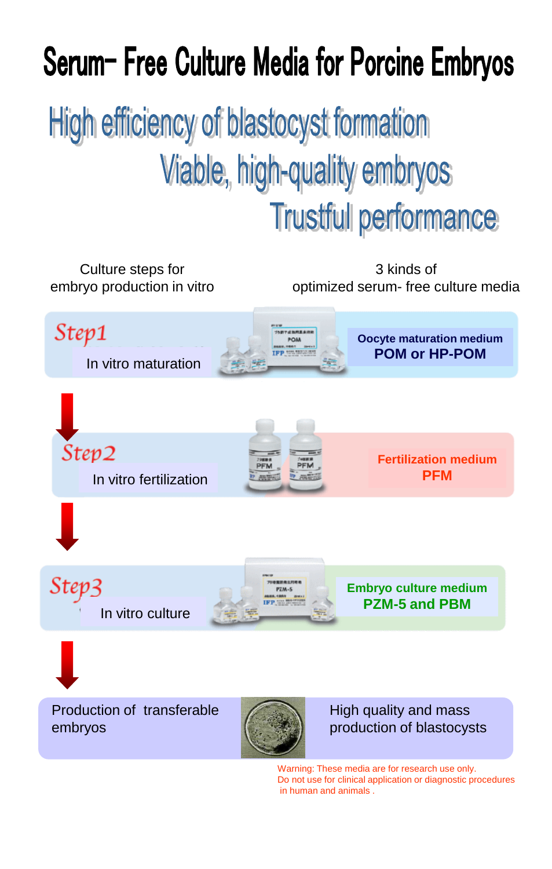## Serum- Free Culture Media for Porcine Embryos

High efficiency of blastocyst formation Viable, high-quality embryos **Trustful performance** 



Do not use for clinical application or diagnostic procedures in human and animals .